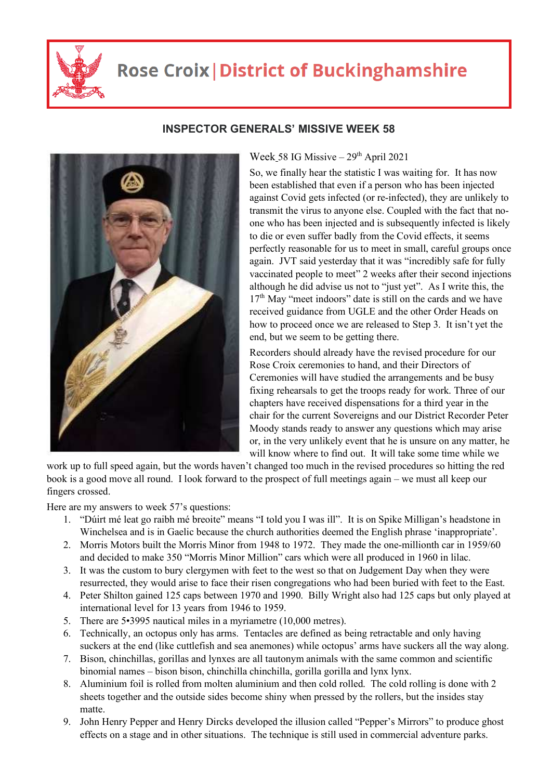

## **Rose Croix | District of Buckinghamshire**



## **INSPECTOR GENERALS' MISSIVE WEEK 58**

Week 58 IG Missive  $-29<sup>th</sup>$  April 2021

So, we finally hear the statistic I was waiting for. It has now been established that even if a person who has been injected against Covid gets infected (or re-infected), they are unlikely to transmit the virus to anyone else. Coupled with the fact that noone who has been injected and is subsequently infected is likely to die or even suffer badly from the Covid effects, it seems perfectly reasonable for us to meet in small, careful groups once again. JVT said yesterday that it was "incredibly safe for fully vaccinated people to meet" 2 weeks after their second injections although he did advise us not to "just yet". As I write this, the  $17<sup>th</sup>$  May "meet indoors" date is still on the cards and we have received guidance from UGLE and the other Order Heads on how to proceed once we are released to Step 3. It isn't yet the end, but we seem to be getting there.

Recorders should already have the revised procedure for our Rose Croix ceremonies to hand, and their Directors of Ceremonies will have studied the arrangements and be busy fixing rehearsals to get the troops ready for work. Three of our chapters have received dispensations for a third year in the chair for the current Sovereigns and our District Recorder Peter Moody stands ready to answer any questions which may arise or, in the very unlikely event that he is unsure on any matter, he will know where to find out. It will take some time while we

work up to full speed again, but the words haven't changed too much in the revised procedures so hitting the red book is a good move all round. I look forward to the prospect of full meetings again – we must all keep our fingers crossed.

Here are my answers to week 57's questions:

- 1. "Dúirt mé leat go raibh mé breoite" means "I told you I was ill". It is on Spike Milligan's headstone in Winchelsea and is in Gaelic because the church authorities deemed the English phrase 'inappropriate'.
- 2. Morris Motors built the Morris Minor from 1948 to 1972. They made the one-millionth car in 1959/60 and decided to make 350 "Morris Minor Million" cars which were all produced in 1960 in lilac.
- 3. It was the custom to bury clergymen with feet to the west so that on Judgement Day when they were resurrected, they would arise to face their risen congregations who had been buried with feet to the East.
- 4. Peter Shilton gained 125 caps between 1970 and 1990. Billy Wright also had 125 caps but only played at international level for 13 years from 1946 to 1959.
- 5. There are 5•3995 nautical miles in a myriametre (10,000 metres).
- 6. Technically, an octopus only has arms. Tentacles are defined as being retractable and only having suckers at the end (like cuttlefish and sea anemones) while octopus' arms have suckers all the way along.
- 7. Bison, chinchillas, gorillas and lynxes are all tautonym animals with the same common and scientific binomial names – bison bison, chinchilla chinchilla, gorilla gorilla and lynx lynx.
- 8. Aluminium foil is rolled from molten aluminium and then cold rolled. The cold rolling is done with 2 sheets together and the outside sides become shiny when pressed by the rollers, but the insides stay matte.
- 9. John Henry Pepper and Henry Dircks developed the illusion called "Pepper's Mirrors" to produce ghost effects on a stage and in other situations. The technique is still used in commercial adventure parks.